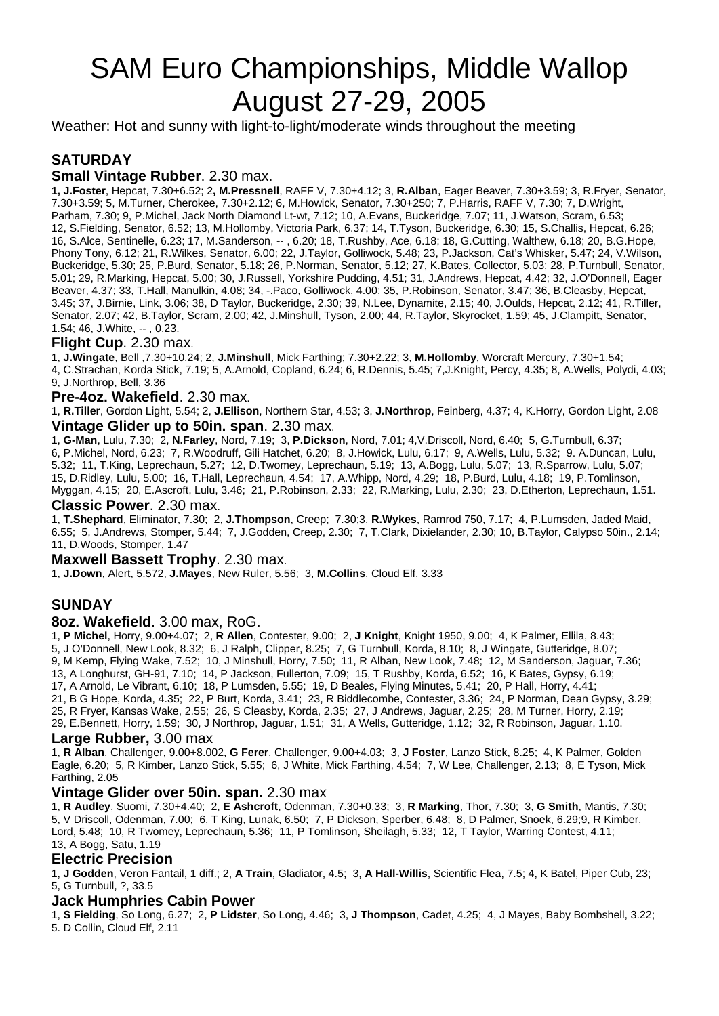# SAM Euro Championships, Middle Wallop August 27-29, 2005

Weather: Hot and sunny with light-to-light/moderate winds throughout the meeting

# **SATURDAY**

# **Small Vintage Rubber**. 2.30 max.

**1, J.Foster**, Hepcat, 7.30+6.52; 2**, M.Pressnell**, RAFF V, 7.30+4.12; 3, **R.Alban**, Eager Beaver, 7.30+3.59; 3, R.Fryer, Senator, 7.30+3.59; 5, M.Turner, Cherokee, 7.30+2.12; 6, M.Howick, Senator, 7.30+250; 7, P.Harris, RAFF V, 7.30; 7, D.Wright, Parham, 7.30; 9, P.Michel, Jack North Diamond Lt-wt, 7.12; 10, A.Evans, Buckeridge, 7.07; 11, J.Watson, Scram, 6.53; 12, S.Fielding, Senator, 6.52; 13, M.Hollomby, Victoria Park, 6.37; 14, T.Tyson, Buckeridge, 6.30; 15, S.Challis, Hepcat, 6.26; 16, S.Alce, Sentinelle, 6.23; 17, M.Sanderson, -- , 6.20; 18, T.Rushby, Ace, 6.18; 18, G.Cutting, Walthew, 6.18; 20, B.G.Hope, Phony Tony, 6.12; 21, R.Wilkes, Senator, 6.00; 22, J.Taylor, Golliwock, 5.48; 23, P.Jackson, Cat's Whisker, 5.47; 24, V.Wilson, Buckeridge, 5.30; 25, P.Burd, Senator, 5.18; 26, P.Norman, Senator, 5.12; 27, K.Bates, Collector, 5.03; 28, P.Turnbull, Senator, 5.01; 29, R.Marking, Hepcat, 5.00; 30, J.Russell, Yorkshire Pudding, 4.51; 31, J.Andrews, Hepcat, 4.42; 32, J.O'Donnell, Eager Beaver, 4.37; 33, T.Hall, Manulkin, 4.08; 34, -.Paco, Golliwock, 4.00; 35, P.Robinson, Senator, 3.47; 36, B.Cleasby, Hepcat, 3.45; 37, J.Birnie, Link, 3.06; 38, D Taylor, Buckeridge, 2.30; 39, N.Lee, Dynamite, 2.15; 40, J.Oulds, Hepcat, 2.12; 41, R.Tiller, Senator, 2.07; 42, B.Taylor, Scram, 2.00; 42, J.Minshull, Tyson, 2.00; 44, R.Taylor, Skyrocket, 1.59; 45, J.Clampitt, Senator, 1.54; 46, J.White, -- , 0.23.

## **Flight Cup**. 2.30 max.

1, **J.Wingate**, Bell ,7.30+10.24; 2, **J.Minshull**, Mick Farthing; 7.30+2.22; 3, **M.Hollomby**, Worcraft Mercury, 7.30+1.54; 4, C.Strachan, Korda Stick, 7.19; 5, A.Arnold, Copland, 6.24; 6, R.Dennis, 5.45; 7,J.Knight, Percy, 4.35; 8, A.Wells, Polydi, 4.03; 9, J.Northrop, Bell, 3.36

## **Pre-4oz. Wakefield**. 2.30 max.

1, **R.Tiller**, Gordon Light, 5.54; 2, **J.Ellison**, Northern Star, 4.53; 3, **J.Northrop**, Feinberg, 4.37; 4, K.Horry, Gordon Light, 2.08 **Vintage Glider up to 50in. span**. 2.30 max.

1, **G-Man**, Lulu, 7.30; 2, **N.Farley**, Nord, 7.19; 3, **P.Dickson**, Nord, 7.01; 4,V.Driscoll, Nord, 6.40; 5, G.Turnbull, 6.37; 6, P.Michel, Nord, 6.23; 7, R.Woodruff, Gili Hatchet, 6.20; 8, J.Howick, Lulu, 6.17; 9, A.Wells, Lulu, 5.32; 9. A.Duncan, Lulu, 5.32; 11, T.King, Leprechaun, 5.27; 12, D.Twomey, Leprechaun, 5.19; 13, A.Bogg, Lulu, 5.07; 13, R.Sparrow, Lulu, 5.07; 15, D.Ridley, Lulu, 5.00; 16, T.Hall, Leprechaun, 4.54; 17, A.Whipp, Nord, 4.29; 18, P.Burd, Lulu, 4.18; 19, P.Tomlinson, Myggan, 4.15; 20, E.Ascroft, Lulu, 3.46; 21, P.Robinson, 2.33; 22, R.Marking, Lulu, 2.30; 23, D.Etherton, Leprechaun, 1.51.

#### **Classic Power**. 2.30 max.

1, **T.Shephard**, Eliminator, 7.30; 2, **J.Thompson**, Creep; 7.30;3, **R.Wykes**, Ramrod 750, 7.17; 4, P.Lumsden, Jaded Maid, 6.55; 5, J.Andrews, Stomper, 5.44; 7, J.Godden, Creep, 2.30; 7, T.Clark, Dixielander, 2.30; 10, B.Taylor, Calypso 50in., 2.14; 11, D.Woods, Stomper, 1.47

## **Maxwell Bassett Trophy**. 2.30 max.

1, **J.Down**, Alert, 5.572, **J.Mayes**, New Ruler, 5.56; 3, **M.Collins**, Cloud Elf, 3.33

## **SUNDAY**

## **8oz. Wakefield**. 3.00 max, RoG.

1, **P Michel**, Horry, 9.00+4.07; 2, **R Allen**, Contester, 9.00; 2, **J Knight**, Knight 1950, 9.00; 4, K Palmer, Ellila, 8.43; 5, J O'Donnell, New Look, 8.32; 6, J Ralph, Clipper, 8.25; 7, G Turnbull, Korda, 8.10; 8, J Wingate, Gutteridge, 8.07; 9, M Kemp, Flying Wake, 7.52; 10, J Minshull, Horry, 7.50; 11, R Alban, New Look, 7.48; 12, M Sanderson, Jaguar, 7.36; 13, A Longhurst, GH-91, 7.10; 14, P Jackson, Fullerton, 7.09; 15, T Rushby, Korda, 6.52; 16, K Bates, Gypsy, 6.19; 17, A Arnold, Le Vibrant, 6.10; 18, P Lumsden, 5.55; 19, D Beales, Flying Minutes, 5.41; 20, P Hall, Horry, 4.41; 21, B G Hope, Korda, 4.35; 22, P Burt, Korda, 3.41; 23, R Biddlecombe, Contester, 3.36; 24, P Norman, Dean Gypsy, 3.29; 25, R Fryer, Kansas Wake, 2.55; 26, S Cleasby, Korda, 2.35; 27, J Andrews, Jaguar, 2.25; 28, M Turner, Horry, 2.19; 29, E.Bennett, Horry, 1.59; 30, J Northrop, Jaguar, 1.51; 31, A Wells, Gutteridge, 1.12; 32, R Robinson, Jaguar, 1.10.

#### **Large Rubber,** 3.00 max

1, **R Alban**, Challenger, 9.00+8.002, **G Ferer**, Challenger, 9.00+4.03; 3, **J Foster**, Lanzo Stick, 8.25; 4, K Palmer, Golden Eagle, 6.20; 5, R Kimber, Lanzo Stick, 5.55; 6, J White, Mick Farthing, 4.54; 7, W Lee, Challenger, 2.13; 8, E Tyson, Mick Farthing, 2.05

## **Vintage Glider over 50in. span.** 2.30 max

1, **R Audley**, Suomi, 7.30+4.40; 2, **E Ashcroft**, Odenman, 7.30+0.33; 3, **R Marking**, Thor, 7.30; 3, **G Smith**, Mantis, 7.30; 5, V Driscoll, Odenman, 7.00; 6, T King, Lunak, 6.50; 7, P Dickson, Sperber, 6.48; 8, D Palmer, Snoek, 6.29;9, R Kimber, Lord, 5.48; 10, R Twomey, Leprechaun, 5.36; 11, P Tomlinson, Sheilagh, 5.33; 12, T Taylor, Warring Contest, 4.11; 13, A Bogg, Satu, 1.19

## **Electric Precision**

1, **J Godden**, Veron Fantail, 1 diff.; 2, **A Train**, Gladiator, 4.5; 3, **A Hall-Willis**, Scientific Flea, 7.5; 4, K Batel, Piper Cub, 23; 5, G Turnbull, ?, 33.5

## **Jack Humphries Cabin Power**

1, **S Fielding**, So Long, 6.27; 2, **P Lidster**, So Long, 4.46; 3, **J Thompson**, Cadet, 4.25; 4, J Mayes, Baby Bombshell, 3.22; 5. D Collin, Cloud Elf, 2.11